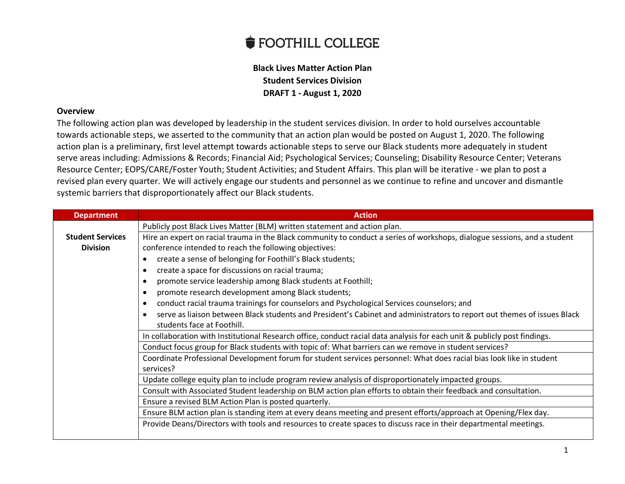## **FOOTHILL COLLEGE**

## **Black Lives Matter Action Plan Student Services Division DRAFT 1 - August 1, 2020**

## **Overview**

The following action plan was developed by leadership in the student services division. In order to hold ourselves accountable towards actionable steps, we asserted to the community that an action plan would be posted on August 1, 2020. The following action plan is a preliminary, first level attempt towards actionable steps to serve our Black students more adequately in student serve areas including: Admissions & Records; Financial Aid; Psychological Services; Counseling; Disability Resource Center; Veterans Resource Center; EOPS/CARE/Foster Youth; Student Activities; and Student Affairs. This plan will be iterative - we plan to post a revised plan every quarter. We will actively engage our students and personnel as we continue to refine and uncover and dismantle systemic barriers that disproportionately affect our Black students.

| <b>Department</b>       | <b>Action</b>                                                                                                             |
|-------------------------|---------------------------------------------------------------------------------------------------------------------------|
|                         | Publicly post Black Lives Matter (BLM) written statement and action plan.                                                 |
| <b>Student Services</b> | Hire an expert on racial trauma in the Black community to conduct a series of workshops, dialogue sessions, and a student |
| <b>Division</b>         | conference intended to reach the following objectives:                                                                    |
|                         | create a sense of belonging for Foothill's Black students;                                                                |
|                         | create a space for discussions on racial trauma;                                                                          |
|                         | promote service leadership among Black students at Foothill;                                                              |
|                         | promote research development among Black students;                                                                        |
|                         | conduct racial trauma trainings for counselors and Psychological Services counselors; and                                 |
|                         | serve as liaison between Black students and President's Cabinet and administrators to report out themes of issues Black   |
|                         | students face at Foothill.                                                                                                |
|                         | In collaboration with Institutional Research office, conduct racial data analysis for each unit & publicly post findings. |
|                         | Conduct focus group for Black students with topic of: What barriers can we remove in student services?                    |
|                         | Coordinate Professional Development forum for student services personnel: What does racial bias look like in student      |
|                         | services?                                                                                                                 |
|                         | Update college equity plan to include program review analysis of disproportionately impacted groups.                      |
|                         | Consult with Associated Student leadership on BLM action plan efforts to obtain their feedback and consultation.          |
|                         | Ensure a revised BLM Action Plan is posted quarterly.                                                                     |
|                         | Ensure BLM action plan is standing item at every deans meeting and present efforts/approach at Opening/Flex day.          |
|                         | Provide Deans/Directors with tools and resources to create spaces to discuss race in their departmental meetings.         |
|                         |                                                                                                                           |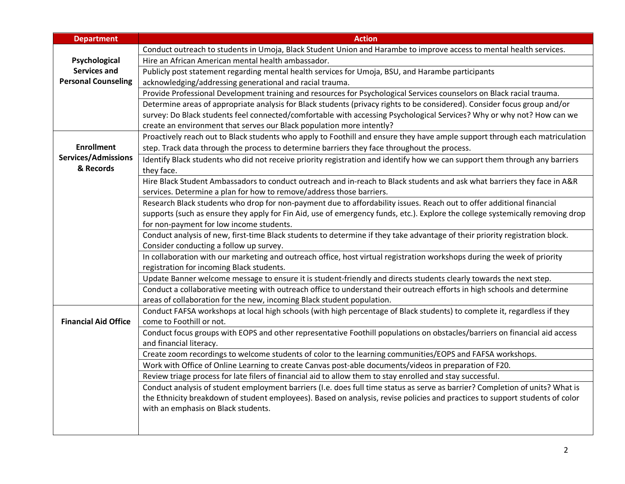| <b>Department</b>           | <b>Action</b>                                                                                                                                          |
|-----------------------------|--------------------------------------------------------------------------------------------------------------------------------------------------------|
|                             | Conduct outreach to students in Umoja, Black Student Union and Harambe to improve access to mental health services.                                    |
| Psychological               | Hire an African American mental health ambassador.                                                                                                     |
| <b>Services and</b>         | Publicly post statement regarding mental health services for Umoja, BSU, and Harambe participants                                                      |
| <b>Personal Counseling</b>  | acknowledging/addressing generational and racial trauma.                                                                                               |
|                             | Provide Professional Development training and resources for Psychological Services counselors on Black racial trauma.                                  |
|                             | Determine areas of appropriate analysis for Black students (privacy rights to be considered). Consider focus group and/or                              |
|                             | survey: Do Black students feel connected/comfortable with accessing Psychological Services? Why or why not? How can we                                 |
|                             | create an environment that serves our Black population more intently?                                                                                  |
|                             | Proactively reach out to Black students who apply to Foothill and ensure they have ample support through each matriculation                            |
| <b>Enrollment</b>           | step. Track data through the process to determine barriers they face throughout the process.                                                           |
| <b>Services/Admissions</b>  | Identify Black students who did not receive priority registration and identify how we can support them through any barriers                            |
| & Records                   | they face.                                                                                                                                             |
|                             | Hire Black Student Ambassadors to conduct outreach and in-reach to Black students and ask what barriers they face in A&R                               |
|                             | services. Determine a plan for how to remove/address those barriers.                                                                                   |
|                             | Research Black students who drop for non-payment due to affordability issues. Reach out to offer additional financial                                  |
|                             | supports (such as ensure they apply for Fin Aid, use of emergency funds, etc.). Explore the college systemically removing drop                         |
|                             | for non-payment for low income students.                                                                                                               |
|                             | Conduct analysis of new, first-time Black students to determine if they take advantage of their priority registration block.                           |
|                             | Consider conducting a follow up survey.                                                                                                                |
|                             | In collaboration with our marketing and outreach office, host virtual registration workshops during the week of priority                               |
|                             | registration for incoming Black students.                                                                                                              |
|                             | Update Banner welcome message to ensure it is student-friendly and directs students clearly towards the next step.                                     |
|                             | Conduct a collaborative meeting with outreach office to understand their outreach efforts in high schools and determine                                |
|                             | areas of collaboration for the new, incoming Black student population.                                                                                 |
| <b>Financial Aid Office</b> | Conduct FAFSA workshops at local high schools (with high percentage of Black students) to complete it, regardless if they                              |
|                             | come to Foothill or not.<br>Conduct focus groups with EOPS and other representative Foothill populations on obstacles/barriers on financial aid access |
|                             | and financial literacy.                                                                                                                                |
|                             | Create zoom recordings to welcome students of color to the learning communities/EOPS and FAFSA workshops.                                              |
|                             | Work with Office of Online Learning to create Canvas post-able documents/videos in preparation of F20.                                                 |
|                             | Review triage process for late filers of financial aid to allow them to stay enrolled and stay successful.                                             |
|                             | Conduct analysis of student employment barriers (I.e. does full time status as serve as barrier? Completion of units? What is                          |
|                             | the Ethnicity breakdown of student employees). Based on analysis, revise policies and practices to support students of color                           |
|                             | with an emphasis on Black students.                                                                                                                    |
|                             |                                                                                                                                                        |
|                             |                                                                                                                                                        |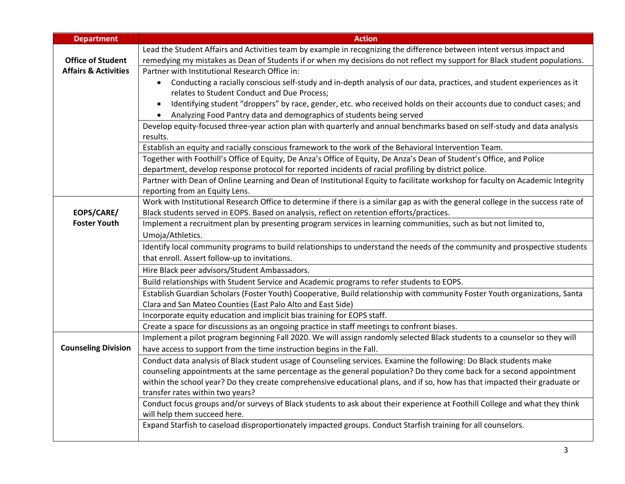| <b>Department</b>               | <b>Action</b>                                                                                                                                                                                                                              |
|---------------------------------|--------------------------------------------------------------------------------------------------------------------------------------------------------------------------------------------------------------------------------------------|
|                                 | Lead the Student Affairs and Activities team by example in recognizing the difference between intent versus impact and                                                                                                                     |
| <b>Office of Student</b>        | remedying my mistakes as Dean of Students if or when my decisions do not reflect my support for Black student populations.                                                                                                                 |
| <b>Affairs &amp; Activities</b> | Partner with Institutional Research Office in:                                                                                                                                                                                             |
|                                 | Conducting a racially conscious self-study and in-depth analysis of our data, practices, and student experiences as it<br>$\bullet$                                                                                                        |
|                                 | relates to Student Conduct and Due Process;                                                                                                                                                                                                |
|                                 | Identifying student "droppers" by race, gender, etc. who received holds on their accounts due to conduct cases; and<br>$\bullet$                                                                                                           |
|                                 | Analyzing Food Pantry data and demographics of students being served<br>$\bullet$                                                                                                                                                          |
|                                 | Develop equity-focused three-year action plan with quarterly and annual benchmarks based on self-study and data analysis                                                                                                                   |
|                                 | results.                                                                                                                                                                                                                                   |
|                                 | Establish an equity and racially conscious framework to the work of the Behavioral Intervention Team.                                                                                                                                      |
|                                 | Together with Foothill's Office of Equity, De Anza's Office of Equity, De Anza's Dean of Student's Office, and Police                                                                                                                      |
|                                 | department, develop response protocol for reported incidents of racial profiling by district police.                                                                                                                                       |
|                                 | Partner with Dean of Online Learning and Dean of Institutional Equity to facilitate workshop for faculty on Academic Integrity                                                                                                             |
|                                 | reporting from an Equity Lens.<br>Work with Institutional Research Office to determine if there is a similar gap as with the general college in the success rate of                                                                        |
| EOPS/CARE/                      | Black students served in EOPS. Based on analysis, reflect on retention efforts/practices.                                                                                                                                                  |
| <b>Foster Youth</b>             | Implement a recruitment plan by presenting program services in learning communities, such as but not limited to,                                                                                                                           |
|                                 | Umoja/Athletics.                                                                                                                                                                                                                           |
|                                 | Identify local community programs to build relationships to understand the needs of the community and prospective students                                                                                                                 |
|                                 | that enroll. Assert follow-up to invitations.                                                                                                                                                                                              |
|                                 | Hire Black peer advisors/Student Ambassadors.                                                                                                                                                                                              |
|                                 |                                                                                                                                                                                                                                            |
|                                 | Build relationships with Student Service and Academic programs to refer students to EOPS.                                                                                                                                                  |
|                                 | Establish Guardian Scholars (Foster Youth) Cooperative, Build relationship with community Foster Youth organizations, Santa                                                                                                                |
|                                 | Clara and San Mateo Counties (East Palo Alto and East Side)                                                                                                                                                                                |
|                                 | Incorporate equity education and implicit bias training for EOPS staff.<br>Create a space for discussions as an ongoing practice in staff meetings to confront biases.                                                                     |
|                                 | Implement a pilot program beginning Fall 2020. We will assign randomly selected Black students to a counselor so they will                                                                                                                 |
| <b>Counseling Division</b>      | have access to support from the time instruction begins in the Fall.                                                                                                                                                                       |
|                                 |                                                                                                                                                                                                                                            |
|                                 | Conduct data analysis of Black student usage of Counseling services. Examine the following: Do Black students make<br>counseling appointments at the same percentage as the general population? Do they come back for a second appointment |
|                                 | within the school year? Do they create comprehensive educational plans, and if so, how has that impacted their graduate or                                                                                                                 |
|                                 | transfer rates within two years?                                                                                                                                                                                                           |
|                                 | Conduct focus groups and/or surveys of Black students to ask about their experience at Foothill College and what they think                                                                                                                |
|                                 | will help them succeed here.                                                                                                                                                                                                               |
|                                 | Expand Starfish to caseload disproportionately impacted groups. Conduct Starfish training for all counselors.                                                                                                                              |
|                                 |                                                                                                                                                                                                                                            |